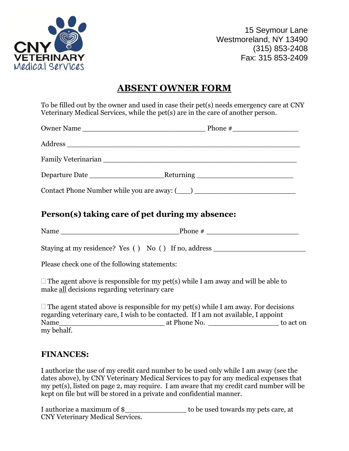

15 Seymour Lane Westmoreland, NY 13490 (315) 853-2408 Fax: 315 853-2409

## **ABSENT OWNER FORM**

To be filled out by the owner and used in case their pet(s) needs emergency care at CNY Veterinary Medical Services, while the pet(s) are in the care of another person.

| Contact Phone Number while you are away: (2008) |  |  |  |  |  |
|-------------------------------------------------|--|--|--|--|--|

## **Person(s) taking care of pet during my absence:**

Name  $\frac{p_{\text{home}}}{p_{\text{none}}}$ 

Staying at my residence? Yes () No () If no, address

Please check one of the following statements:

 $\Box$  The agent above is responsible for my pet(s) while I am away and will be able to make all decisions regarding veterinary care

 $\Box$  The agent stated above is responsible for my pet(s) while I am away. For decisions regarding veterinary care, I wish to be contacted. If I am not available, I appoint Name\_\_\_\_\_\_\_\_\_\_\_\_\_\_\_\_\_\_\_\_\_\_\_\_ at Phone No. \_\_\_\_\_\_\_\_\_\_\_\_\_\_\_\_ to act on my behalf.

## **FINANCES:**

I authorize the use of my credit card number to be used only while I am away (see the dates above), by CNY Veterinary Medical Services to pay for any medical expenses that my pet(s), listed on page 2, may require. I am aware that my credit card number will be kept on file but will be stored in a private and confidential manner.

I authorize a maximum of \$\_\_\_\_\_\_\_\_\_\_\_\_\_\_ to be used towards my pets care, at CNY Veterinary Medical Services.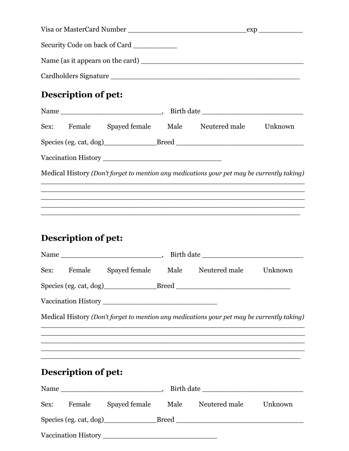|  |                            | Security Code on back of Card |  |                                                                                                                        |  |
|--|----------------------------|-------------------------------|--|------------------------------------------------------------------------------------------------------------------------|--|
|  |                            |                               |  |                                                                                                                        |  |
|  |                            |                               |  |                                                                                                                        |  |
|  | Description of pet:        |                               |  |                                                                                                                        |  |
|  |                            |                               |  |                                                                                                                        |  |
|  |                            |                               |  | Sex: Female Spayed female Male Neutered male Unknown                                                                   |  |
|  |                            |                               |  |                                                                                                                        |  |
|  |                            |                               |  |                                                                                                                        |  |
|  |                            |                               |  | Medical History (Don't forget to mention any medications your pet may be currently taking)                             |  |
|  |                            |                               |  |                                                                                                                        |  |
|  |                            |                               |  |                                                                                                                        |  |
|  |                            |                               |  | <u> 1989 - Johann John Stoff, deutscher Stoffen und der Stoffen und der Stoffen und der Stoffen und der Stoffen un</u> |  |
|  |                            |                               |  |                                                                                                                        |  |
|  | Description of pet:        |                               |  |                                                                                                                        |  |
|  |                            |                               |  |                                                                                                                        |  |
|  |                            |                               |  | Sex: Female Spayed female Male Neutered male Unknown                                                                   |  |
|  |                            |                               |  |                                                                                                                        |  |
|  |                            |                               |  |                                                                                                                        |  |
|  |                            |                               |  | Medical History (Don't forget to mention any medications your pet may be currently taking)                             |  |
|  |                            |                               |  |                                                                                                                        |  |
|  |                            |                               |  | <u> 1989 - Johann Barn, amerikan basar basa dalam basa dan basa dan basa dan basa dalam basa dalam basa dalam basa</u> |  |
|  |                            |                               |  | <u> 1989 - Jan James James Jan James James James James James James James James James James James James James Jam</u>   |  |
|  | <b>Description of pet:</b> |                               |  |                                                                                                                        |  |
|  |                            |                               |  |                                                                                                                        |  |
|  |                            |                               |  | Sex: Female Spayed female Male Neutered male Unknown                                                                   |  |
|  |                            |                               |  | Species (eg. cat, dog)___________________Breed __________________________________                                      |  |
|  |                            |                               |  |                                                                                                                        |  |